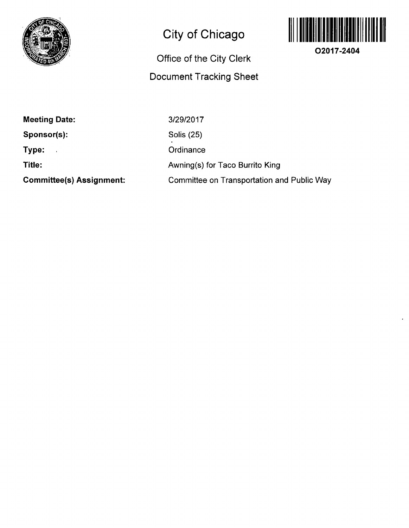

## **City of Chicago**

## **Office of the City Clerk Document Tracking Sheet**



**O2017-2404** 

**Meeting Date:** 

 $\frac{1}{2}$ 

**Sponsor(s):** 

**Type:** 

**Title:** 

**Committee(s) Assignment:** 

3/29/2017

Solis (25)

**Ordinance** 

**Awning(s) for Taco Burrito King** 

Committee on Transportation and Public Way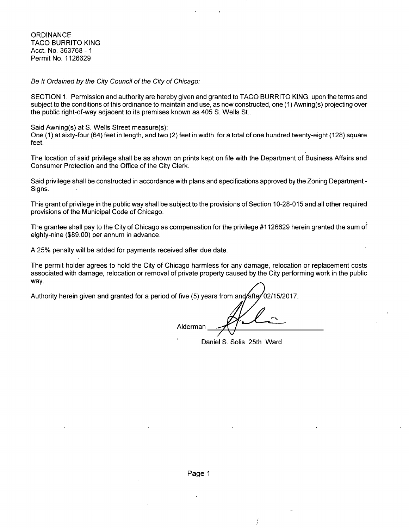**ORDINANCE** TACO BURRITO KING Acct. No. 363768 - 1 Permit No. 1126629

Be It Ordained by the City Council of the City of Chicago:

SECTION 1. Permission and authority are hereby given and granted to TACO BURRITO KING, upon the terms and subject to the conditions of this ordinance to maintain and use, as now constructed, one (1) Awning(s) projecting over the public right-of-way adjacent to its premises known as 405 S. Wells St..

Said Awning(s) at S. Wells Street measure(s): One (1) at sixty-four (64) feet in length, and two (2) feet in width fora total of one hundred twenty-eight (128) square feet.

The location of said privilege shall be as shown on prints kept on file with the Department of Business Affairs and Consumer Protection and the Office of the City Clerk.

Said privilege shall be constructed in accordance with plans and specifications approved by the Zoning Department - Signs.

This grant of privilege in the public way shall be subject to the provisions of Section 10-28-015 and all other required provisions of the Municipal Code of Chicago.

The grantee shall pay to the City of Chicago as compensation for the privilege #1126629 herein granted the sum of eighty-nine (\$89.00) per annum in advance.

A 25% penalty will be added for payments received after due date.

The permit holder agrees to hold the City of Chicago harmless for any damage, relocation or replacement costs associated with damage, relocation or removal of private property caused by the City performing work in the public way.

Authority herein given and granted for a period of five (5) years from and/&fte/02/15/2017

Alderman

Daniel S. Solis 25th Ward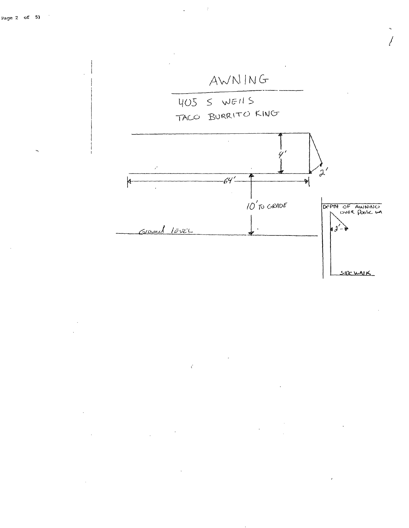

 $\boldsymbol{\cdot}$ 

l.

 $\vec{\zeta}$